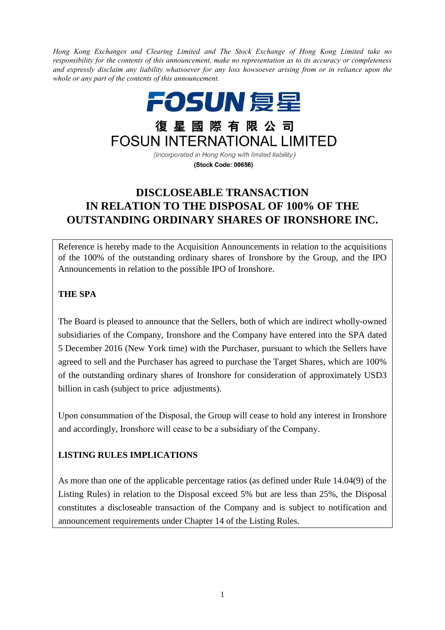*Hong Kong Exchanges and Clearing Limited and The Stock Exchange of Hong Kong Limited take no responsibility for the contents of this announcement, make no representation as to its accuracy or completeness and expressly disclaim any liability whatsoever for any loss howsoever arising from or in reliance upon the whole or any part of the contents of this announcement.*



(Stock Code: 00656)

# **DISCLOSEABLE TRANSACTION IN RELATION TO THE DISPOSAL OF 100% OF THE OUTSTANDING ORDINARY SHARES OF IRONSHORE INC.**

Reference is hereby made to the Acquisition Announcements in relation to the acquisitions of the 100% of the outstanding ordinary shares of Ironshore by the Group, and the IPO Announcements in relation to the possible IPO of Ironshore.

## **THE SPA**

The Board is pleased to announce that the Sellers, both of which are indirect wholly-owned subsidiaries of the Company, Ironshore and the Company have entered into the SPA dated 5 December 2016 (New York time) with the Purchaser, pursuant to which the Sellers have agreed to sell and the Purchaser has agreed to purchase the Target Shares, which are 100% of the outstanding ordinary shares of Ironshore for consideration of approximately USD3 billion in cash (subject to price adjustments).

Upon consummation of the Disposal, the Group will cease to hold any interest in Ironshore and accordingly, Ironshore will cease to be a subsidiary of the Company.

## **LISTING RULES IMPLICATIONS**

As more than one of the applicable percentage ratios (as defined under Rule 14.04(9) of the Listing Rules) in relation to the Disposal exceed 5% but are less than 25%, the Disposal constitutes a discloseable transaction of the Company and is subject to notification and announcement requirements under Chapter 14 of the Listing Rules.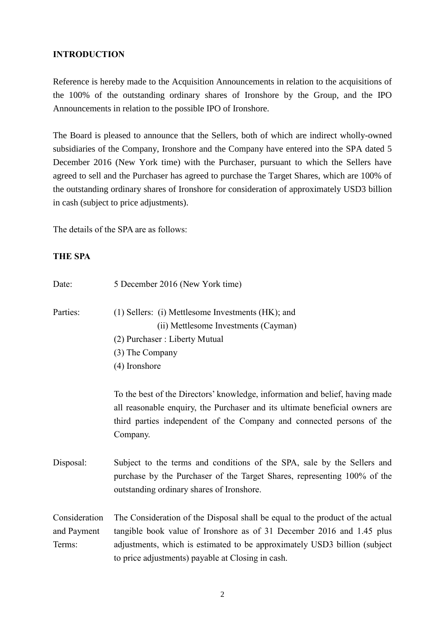### **INTRODUCTION**

Reference is hereby made to the Acquisition Announcements in relation to the acquisitions of the 100% of the outstanding ordinary shares of Ironshore by the Group, and the IPO Announcements in relation to the possible IPO of Ironshore.

The Board is pleased to announce that the Sellers, both of which are indirect wholly-owned subsidiaries of the Company, Ironshore and the Company have entered into the SPA dated 5 December 2016 (New York time) with the Purchaser, pursuant to which the Sellers have agreed to sell and the Purchaser has agreed to purchase the Target Shares, which are 100% of the outstanding ordinary shares of Ironshore for consideration of approximately USD3 billion in cash (subject to price adjustments).

The details of the SPA are as follows:

#### **THE SPA**

| Date:                                  | 5 December 2016 (New York time)                                                                                                                                                                                                                                                          |
|----------------------------------------|------------------------------------------------------------------------------------------------------------------------------------------------------------------------------------------------------------------------------------------------------------------------------------------|
| Parties:                               | (1) Sellers: (i) Mettlesome Investments (HK); and<br>(ii) Mettlesome Investments (Cayman)                                                                                                                                                                                                |
|                                        | (2) Purchaser: Liberty Mutual                                                                                                                                                                                                                                                            |
|                                        | (3) The Company                                                                                                                                                                                                                                                                          |
|                                        | (4) Ironshore                                                                                                                                                                                                                                                                            |
|                                        | To the best of the Directors' knowledge, information and belief, having made<br>all reasonable enquiry, the Purchaser and its ultimate beneficial owners are<br>third parties independent of the Company and connected persons of the<br>Company.                                        |
| Disposal:                              | Subject to the terms and conditions of the SPA, sale by the Sellers and<br>purchase by the Purchaser of the Target Shares, representing 100% of the<br>outstanding ordinary shares of Ironshore.                                                                                         |
| Consideration<br>and Payment<br>Terms: | The Consideration of the Disposal shall be equal to the product of the actual<br>tangible book value of Ironshore as of 31 December 2016 and 1.45 plus<br>adjustments, which is estimated to be approximately USD3 billion (subject<br>to price adjustments) payable at Closing in cash. |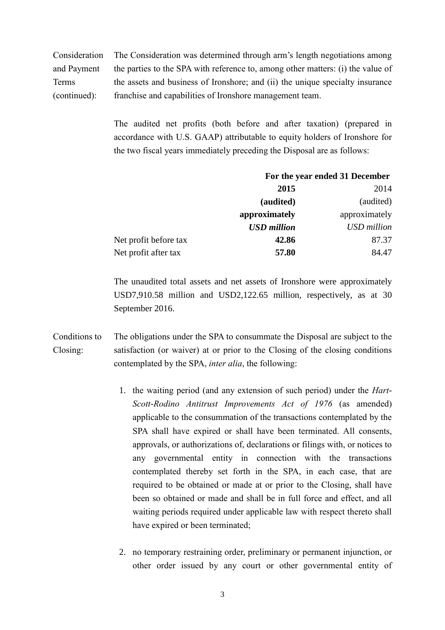Consideration and Payment Terms (continued): The Consideration was determined through arm's length negotiations among the parties to the SPA with reference to, among other matters: (i) the value of the assets and business of Ironshore; and (ii) the unique specialty insurance franchise and capabilities of Ironshore management team.

> The audited net profits (both before and after taxation) (prepared in accordance with U.S. GAAP) attributable to equity holders of Ironshore for the two fiscal years immediately preceding the Disposal are as follows:

|                       | For the year ended 31 December |               |
|-----------------------|--------------------------------|---------------|
|                       | 2015                           | 2014          |
|                       | (audited)                      | (audited)     |
|                       | approximately                  | approximately |
|                       | <b>USD</b> million             | USD million   |
| Net profit before tax | 42.86                          | 87.37         |
| Net profit after tax  | 57.80                          | 84.47         |

The unaudited total assets and net assets of Ironshore were approximately USD7,910.58 million and USD2,122.65 million, respectively, as at 30 September 2016.

- Conditions to Closing: The obligations under the SPA to consummate the Disposal are subject to the satisfaction (or waiver) at or prior to the Closing of the closing conditions contemplated by the SPA, *inter alia*, the following:
	- 1. the waiting period (and any extension of such period) under the *Hart-Scott-Rodino Antitrust Improvements Act of 1976* (as amended) applicable to the consummation of the transactions contemplated by the SPA shall have expired or shall have been terminated. All consents, approvals, or authorizations of, declarations or filings with, or notices to any governmental entity in connection with the transactions contemplated thereby set forth in the SPA, in each case, that are required to be obtained or made at or prior to the Closing, shall have been so obtained or made and shall be in full force and effect, and all waiting periods required under applicable law with respect thereto shall have expired or been terminated;
	- 2. no temporary restraining order, preliminary or permanent injunction, or other order issued by any court or other governmental entity of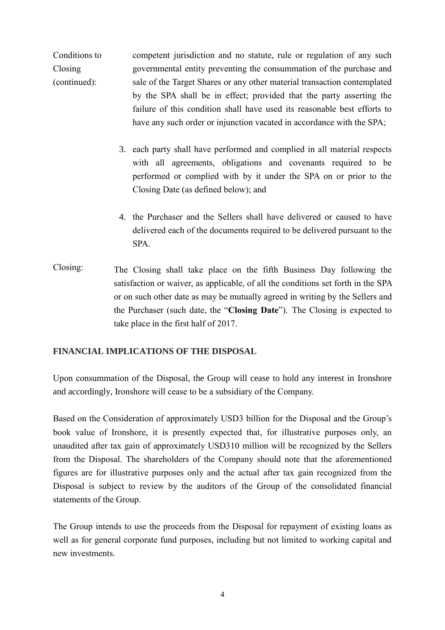Conditions to Closing (continued): competent jurisdiction and no statute, rule or regulation of any such governmental entity preventing the consummation of the purchase and sale of the Target Shares or any other material transaction contemplated by the SPA shall be in effect; provided that the party asserting the failure of this condition shall have used its reasonable best efforts to have any such order or injunction vacated in accordance with the SPA;

- 3. each party shall have performed and complied in all material respects with all agreements, obligations and covenants required to be performed or complied with by it under the SPA on or prior to the Closing Date (as defined below); and
- 4. the Purchaser and the Sellers shall have delivered or caused to have delivered each of the documents required to be delivered pursuant to the SPA.
- Closing: The Closing shall take place on the fifth Business Day following the satisfaction or waiver, as applicable, of all the conditions set forth in the SPA or on such other date as may be mutually agreed in writing by the Sellers and the Purchaser (such date, the "**Closing Date**"). The Closing is expected to take place in the first half of 2017.

#### **FINANCIAL IMPLICATIONS OF THE DISPOSAL**

Upon consummation of the Disposal, the Group will cease to hold any interest in Ironshore and accordingly, Ironshore will cease to be a subsidiary of the Company.

Based on the Consideration of approximately USD3 billion for the Disposal and the Group's book value of Ironshore, it is presently expected that, for illustrative purposes only, an unaudited after tax gain of approximately USD310 million will be recognized by the Sellers from the Disposal. The shareholders of the Company should note that the aforementioned figures are for illustrative purposes only and the actual after tax gain recognized from the Disposal is subject to review by the auditors of the Group of the consolidated financial statements of the Group.

The Group intends to use the proceeds from the Disposal for repayment of existing loans as well as for general corporate fund purposes, including but not limited to working capital and new investments.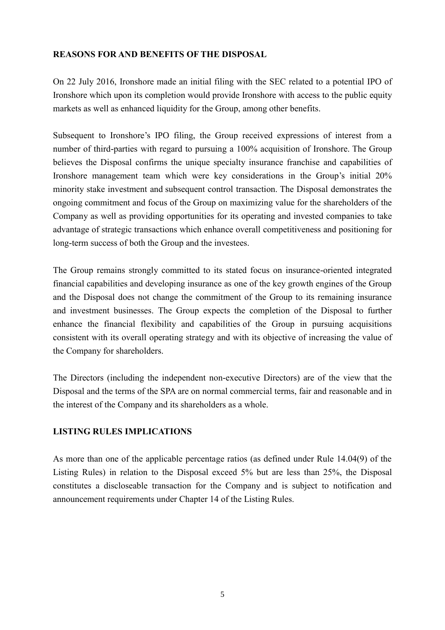## **REASONS FOR AND BENEFITS OF THE DISPOSAL**

On 22 July 2016, Ironshore made an initial filing with the SEC related to a potential IPO of Ironshore which upon its completion would provide Ironshore with access to the public equity markets as well as enhanced liquidity for the Group, among other benefits.

Subsequent to Ironshore's IPO filing, the Group received expressions of interest from a number of third-parties with regard to pursuing a 100% acquisition of Ironshore. The Group believes the Disposal confirms the unique specialty insurance franchise and capabilities of Ironshore management team which were key considerations in the Group's initial 20% minority stake investment and subsequent control transaction. The Disposal demonstrates the ongoing commitment and focus of the Group on maximizing value for the shareholders of the Company as well as providing opportunities for its operating and invested companies to take advantage of strategic transactions which enhance overall competitiveness and positioning for long-term success of both the Group and the investees.

The Group remains strongly committed to its stated focus on insurance-oriented integrated financial capabilities and developing insurance as one of the key growth engines of the Group and the Disposal does not change the commitment of the Group to its remaining insurance and investment businesses. The Group expects the completion of the Disposal to further enhance the financial flexibility and capabilities of the Group in pursuing acquisitions consistent with its overall operating strategy and with its objective of increasing the value of the Company for shareholders.

The Directors (including the independent non-executive Directors) are of the view that the Disposal and the terms of the SPA are on normal commercial terms, fair and reasonable and in the interest of the Company and its shareholders as a whole.

## **LISTING RULES IMPLICATIONS**

As more than one of the applicable percentage ratios (as defined under Rule 14.04(9) of the Listing Rules) in relation to the Disposal exceed 5% but are less than 25%, the Disposal constitutes a discloseable transaction for the Company and is subject to notification and announcement requirements under Chapter 14 of the Listing Rules.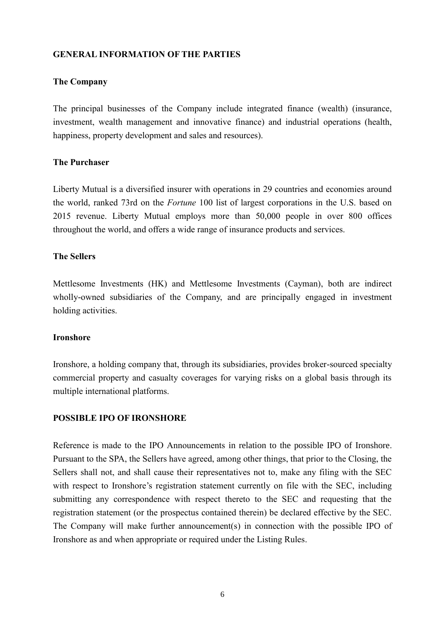#### **GENERAL INFORMATION OF THE PARTIES**

#### **The Company**

The principal businesses of the Company include integrated finance (wealth) (insurance, investment, wealth management and innovative finance) and industrial operations (health, happiness, property development and sales and resources).

#### **The Purchaser**

Liberty Mutual is a diversified insurer with operations in 29 countries and economies around the world, ranked 73rd on the *Fortune* 100 list of largest corporations in the U.S. based on 2015 revenue. Liberty Mutual employs more than 50,000 people in over 800 offices throughout the world, and offers a wide range of insurance products and services.

#### **The Sellers**

Mettlesome Investments (HK) and Mettlesome Investments (Cayman), both are indirect wholly-owned subsidiaries of the Company, and are principally engaged in investment holding activities.

#### **Ironshore**

Ironshore, a holding company that, through its subsidiaries, provides broker-sourced specialty commercial property and casualty coverages for varying risks on a global basis through its multiple international platforms.

#### **POSSIBLE IPO OF IRONSHORE**

Reference is made to the IPO Announcements in relation to the possible IPO of Ironshore. Pursuant to the SPA, the Sellers have agreed, among other things, that prior to the Closing, the Sellers shall not, and shall cause their representatives not to, make any filing with the SEC with respect to Ironshore's registration statement currently on file with the SEC, including submitting any correspondence with respect thereto to the SEC and requesting that the registration statement (or the prospectus contained therein) be declared effective by the SEC. The Company will make further announcement(s) in connection with the possible IPO of Ironshore as and when appropriate or required under the Listing Rules.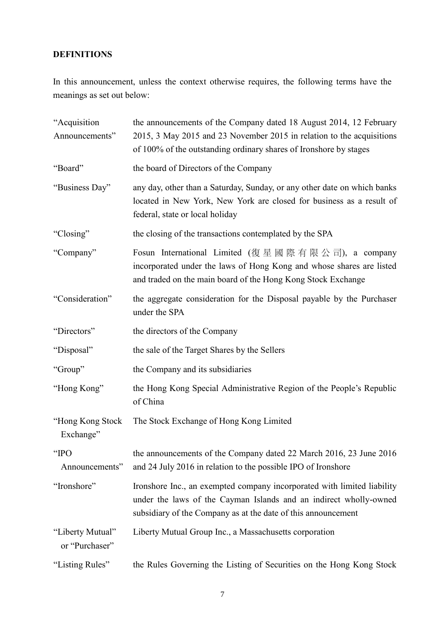## **DEFINITIONS**

In this announcement, unless the context otherwise requires, the following terms have the meanings as set out below:

| "Acquisition<br>Announcements"     | the announcements of the Company dated 18 August 2014, 12 February<br>2015, 3 May 2015 and 23 November 2015 in relation to the acquisitions<br>of 100% of the outstanding ordinary shares of Ironshore by stages |
|------------------------------------|------------------------------------------------------------------------------------------------------------------------------------------------------------------------------------------------------------------|
| "Board"                            | the board of Directors of the Company                                                                                                                                                                            |
| "Business Day"                     | any day, other than a Saturday, Sunday, or any other date on which banks<br>located in New York, New York are closed for business as a result of<br>federal, state or local holiday                              |
| "Closing"                          | the closing of the transactions contemplated by the SPA                                                                                                                                                          |
| "Company"                          | Fosun International Limited (復星國際有限公司), a company<br>incorporated under the laws of Hong Kong and whose shares are listed<br>and traded on the main board of the Hong Kong Stock Exchange                        |
| "Consideration"                    | the aggregate consideration for the Disposal payable by the Purchaser<br>under the SPA                                                                                                                           |
| "Directors"                        | the directors of the Company                                                                                                                                                                                     |
| "Disposal"                         | the sale of the Target Shares by the Sellers                                                                                                                                                                     |
| "Group"                            | the Company and its subsidiaries                                                                                                                                                                                 |
| "Hong Kong"                        | the Hong Kong Special Administrative Region of the People's Republic<br>of China                                                                                                                                 |
| "Hong Kong Stock<br>Exchange"      | The Stock Exchange of Hong Kong Limited                                                                                                                                                                          |
| "IPO<br>Announcements"             | the announcements of the Company dated 22 March 2016, 23 June 2016<br>and 24 July 2016 in relation to the possible IPO of Ironshore                                                                              |
| "Ironshore"                        | Ironshore Inc., an exempted company incorporated with limited liability<br>under the laws of the Cayman Islands and an indirect wholly-owned<br>subsidiary of the Company as at the date of this announcement    |
| "Liberty Mutual"<br>or "Purchaser" | Liberty Mutual Group Inc., a Massachusetts corporation                                                                                                                                                           |
| "Listing Rules"                    | the Rules Governing the Listing of Securities on the Hong Kong Stock                                                                                                                                             |